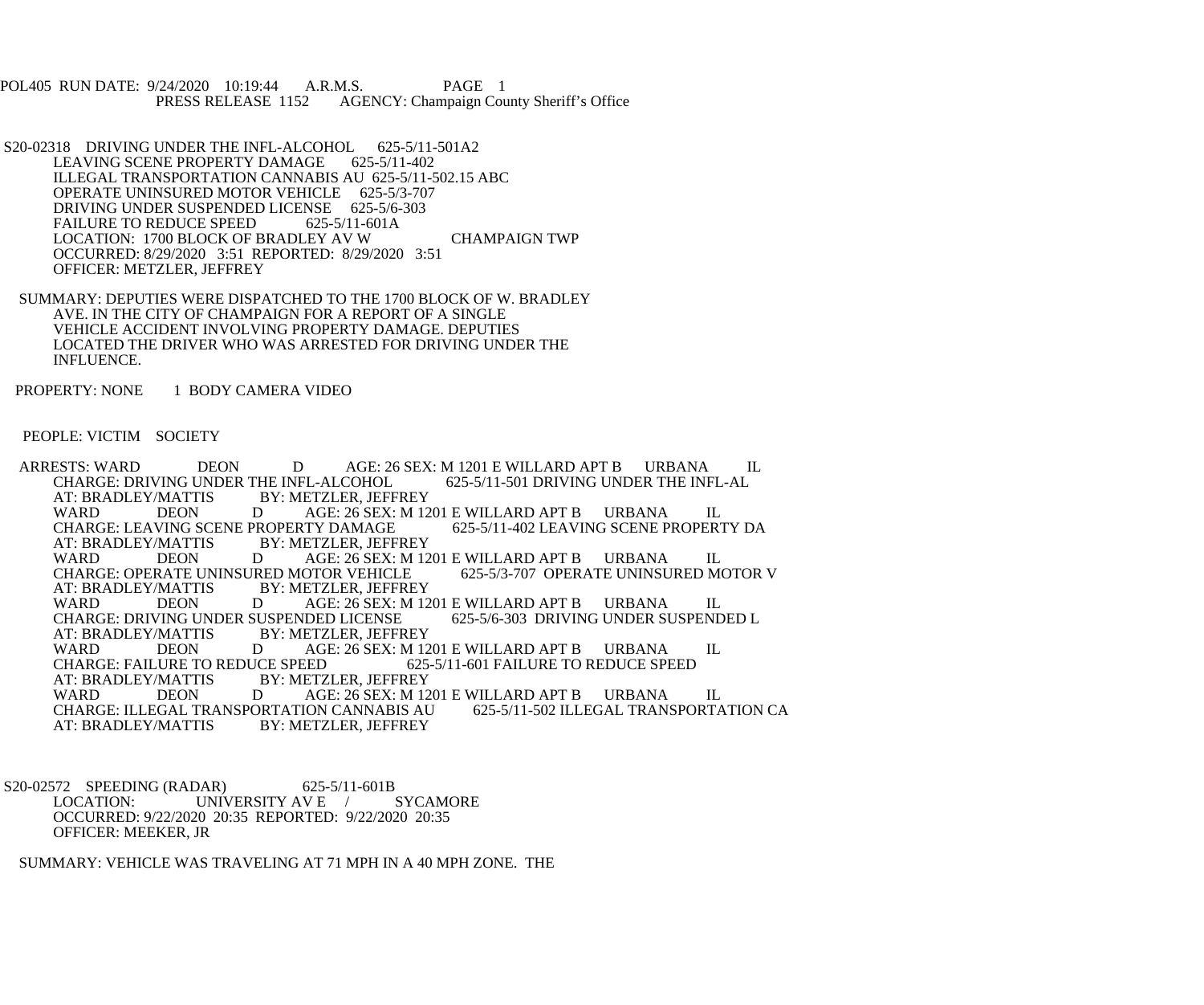POL405 RUN DATE: 9/24/2020 10:19:44 A.R.M.S. PAGE 1<br>PRESS RELEASE 1152 AGENCY: Champaign Cou AGENCY: Champaign County Sheriff's Office

- S20-02318 DRIVING UNDER THE INFL-ALCOHOL 625-5/11-501A2<br>LEAVING SCENE PROPERTY DAMAGE 625-5/11-402 LEAVING SCENE PROPERTY DAMAGE ILLEGAL TRANSPORTATION CANNABIS AU 625-5/11-502.15 ABC OPERATE UNINSURED MOTOR VEHICLE 625-5/3-707 DRIVING UNDER SUSPENDED LICENSE 625-5/6-303<br>FAILURE TO REDUCE SPEED 625-5/11-601A FAILURE TO REDUCE SPEED LOCATION: 1700 BLOCK OF BRADLEY AV W CHAMPAIGN TWP OCCURRED: 8/29/2020 3:51 REPORTED: 8/29/2020 3:51 OFFICER: METZLER, JEFFREY
- SUMMARY: DEPUTIES WERE DISPATCHED TO THE 1700 BLOCK OF W. BRADLEY AVE. IN THE CITY OF CHAMPAIGN FOR A REPORT OF A SINGLE VEHICLE ACCIDENT INVOLVING PROPERTY DAMAGE. DEPUTIES LOCATED THE DRIVER WHO WAS ARRESTED FOR DRIVING UNDER THE INFLUENCE.

PROPERTY: NONE 1 BODY CAMERA VIDEO

PEOPLE: VICTIM SOCIETY

ARRESTS: WARD DEON D AGE: 26 SEX: M 1201 E WILLARD APT B URBANA IL CHARGE: DRIVING UNDER THE INFL-ALCOHOL 625-5/11-501 DRIVING UNDER THE INFL-AL CHARGE: DRIVING UNDER THE INFL-ALCOHOL<br>AT: BRADLEY/MATTIS BY: METZLER. JEFF BY: METZLER, JEFFREY WARD DEON DAGE: 26 SEX: M 1201 E WILLARD APT B URBANA IL<br>CHARGE: LEAVING SCENE PROPERTY DAMAGE 625-5/11-402 LEAVING SCENE PROPERTY DA CHARGE: LEAVING SCENE PROPERTY DAMAGE<br>AT: BRADLEY/MATTIS BY: METZLER, JEFF AT: BRADLEY/MATTIS BY: METZLER, JEFFREY<br>WARD DEON DAGE: 26 SEX: M 12 AGE: 26 SEX: M 1201 E WILLARD APT B URBANA IL<br>OTOR VEHICLE 625-5/3-707 OPERATE UNINSURED MOTOR V CHARGE: OPERATE UNINSURED MOTOR VEHICLE<br>AT: BRADLEY/MATTIS BY: METZLER. JEFFRE BY: METZLER, JEFFREY<br>D<br>AGE: 26 SEX: M 12 WARD DEON DAGE: 26 SEX: M 1201 E WILLARD APT B URBANA IL<br>CHARGE: DRIVING UNDER SUSPENDED LICENSE 625-5/6-303 DRIVING UNDER SUSPENDED L CHARGE: DRIVING UNDER SUSPENDED LICENSE<br>AT: BRADLEY/MATTIS BY: METZLER, JEFFR AT: BRADLEY/MATTIS BY: METZLER, JEFFREY<br>WARD DEON DAGE: 26 SEX: M 12 DEON D AGE: 26 SEX: M 1201 E WILLARD APT B URBANA IL<br>URE TO REDUCE SPEED 625-5/11-601 FAILURE TO REDUCE SPEED CHARGE: FAILURE TO REDUCE SPEED<br>AT: BRADLEY/MATTIS BY: METZ AT: BRADLEY/MATTIS BY: METZLER, JEFFREY WARD DEON DAGE: 26 SEX: M 1201 E WILLARD APT B URBANA IL<br>CHARGE: ILLEGAL TRANSPORTATION CANNABIS AU 625-5/11-502 ILLEGAL TRANSPORTATION CA CHARGE: ILLEGAL TRANSPORTATION CANNABIS AU<br>AT: BRADLEY/MATTIS BY: METZLER, JEFFREY BY: METZLER, JEFFREY

S20-02572 SPEEDING (RADAR) 625-5/11-601B<br>LOCATION: UNIVERSITY AV E / SYCAMORE UNIVERSITY AV E  $/$  OCCURRED: 9/22/2020 20:35 REPORTED: 9/22/2020 20:35 OFFICER: MEEKER, JR

SUMMARY: VEHICLE WAS TRAVELING AT 71 MPH IN A 40 MPH ZONE. THE